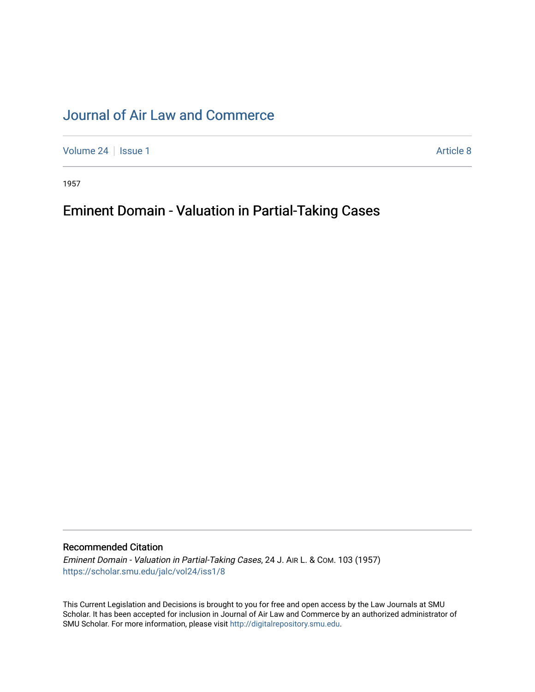# [Journal of Air Law and Commerce](https://scholar.smu.edu/jalc)

[Volume 24](https://scholar.smu.edu/jalc/vol24) | [Issue 1](https://scholar.smu.edu/jalc/vol24/iss1) Article 8

1957

## Eminent Domain - Valuation in Partial-Taking Cases

Recommended Citation

Eminent Domain - Valuation in Partial-Taking Cases, 24 J. AIR L. & COM. 103 (1957) [https://scholar.smu.edu/jalc/vol24/iss1/8](https://scholar.smu.edu/jalc/vol24/iss1/8?utm_source=scholar.smu.edu%2Fjalc%2Fvol24%2Fiss1%2F8&utm_medium=PDF&utm_campaign=PDFCoverPages) 

This Current Legislation and Decisions is brought to you for free and open access by the Law Journals at SMU Scholar. It has been accepted for inclusion in Journal of Air Law and Commerce by an authorized administrator of SMU Scholar. For more information, please visit [http://digitalrepository.smu.edu](http://digitalrepository.smu.edu/).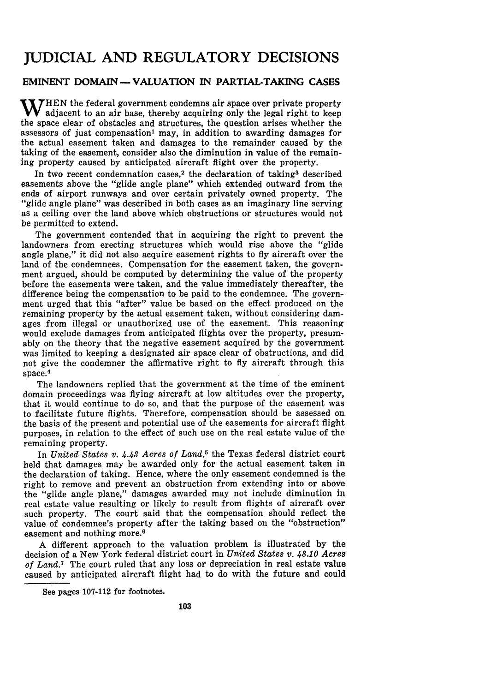## **JUDICIAL AND** REGULATORY **DECISIONS**

### **EMINENT DOMAIN -VALUATION IN PARTIAL-TAKING CASES**

WITHEN the federal government condemns air space over private property adjacent to an air base, thereby acquiring only the legal right to keep the space clear of obstacles and structures, the question arises whether the assessors of just compensation' may, in addition to awarding damages for the actual easement taken and damages to the remainder caused by the taking of the easement, consider also the diminution in value of the remaining property caused by anticipated aircraft flight over the property.

In two recent condemnation cases,<sup>2</sup> the declaration of taking<sup>3</sup> described easements above the "glide angle plane" which extended outward from the ends of airport runways and over certain privately owned property. The "glide angle plane" was described in both cases as an imaginary line serving as a ceiling over the land above which obstructions or structures would not be permitted to extend.

The government contended that in acquiring the right to prevent the landowners from erecting structures which would rise above the "glide angle plane," it did not also acquire easement rights to fly aircraft over the land of the condemnees. Compensation for the easement taken, the government argued, should be computed by determining the value of the property before the easements were taken, and the value immediately thereafter, the difference being the compensation to be paid to the condemnee. The government urged that this "after" value be based on the effect produced on the remaining property by the actual easement taken, without considering damages from illegal or unauthorized use of the easement. This reasoning would exclude damages from anticipated flights over the property, presumably on the theory that the negative easement acquired by the government was limited to keeping a designated air space clear of obstructions, and did not give the condemner the affirmative right to fly aircraft through this space. 4

The landowners replied that the government at the time of the eminent domain proceedings was flying aircraft at low altitudes over the property, that it would continue to do so, and that the purpose of the easement was to facilitate future flights. Therefore, compensation should be assessed on the basis of the present and potential use of the easements for aircraft flight purposes, in relation to the effect of such use on the real estate value of the remaining property.

In *United States v. 4.43 Acres of Land,5* the Texas federal district court held that damages may be awarded only for the actual easement taken in the declaration of taking. Hence, where the only easement condemned is the right to remove and prevent an obstruction from extending into or above the "glide angle plane," damages awarded may not include diminution in real estate value resulting or likely to result from flights of aircraft over such property. The court said that the compensation should reflect the value of condemnee's property after the taking based on the "obstruction" easement and nothing more.6

A different approach to the valuation problem is illustrated by the decision of a New York federal district court in *United States v. 48.10 Acres of Land.7* The court ruled that any loss or depreciation in real estate value caused by anticipated aircraft flight had to do with the future and could

See pages 107-112 for footnotes.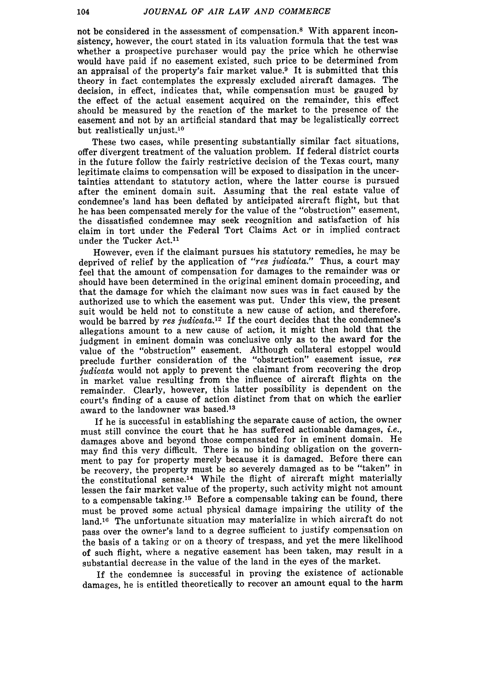not be considered in the assessment of compensation.8 With apparent inconsistency, however, the court stated in its valuation formula that the test was whether a prospective purchaser would pay the price which he otherwise would have paid if no easement existed, such price to be determined from an appraisal of the property's fair market value.<sup>9</sup> It is submitted that this theory in fact contemplates the expressly excluded aircraft damages. The decision, in effect, indicates that, while compensation must be gauged by the effect of the actual easement acquired on the remainder, this effect should be measured by the reaction of the market to the presence of the easement and not by an artificial standard that may be legalistically correct but realistically unjust.<sup>10</sup>

These two cases, while presenting substantially similar fact situations, offer divergent treatment of the valuation problem. If federal district courts in the future follow the fairly restrictive decision of the Texas court, many legitimate claims to compensation will be exposed to dissipation in the uncertainties attendant to statutory action, where the latter course is pursued after the eminent domain suit. Assuming that the real estate value of condemnee's land has been deflated by anticipated aircraft flight, but that he has been compensated merely for the value of the "obstruction" easement, the dissatisfied condemnee may seek recognition and satisfaction of his claim in tort under the Federal Tort Claims Act or in implied contract under the Tucker Act.<sup>11</sup>

However, even if the claimant pursues his statutory remedies, he may be deprived of relief by the application of *"res judicata."* Thus, a court may feel that the amount of compensation for damages to the remainder was or should have been determined in the original eminent domain proceeding, and that the damage for which the claimant now sues was in fact caused by the authorized use to which the easement was put. Under this view, the present suit would be held not to constitute a new cause of action, and therefore. would be barred by res judicata.<sup>12</sup> If the court decides that the condemnee's allegations amount to a new cause of action, it might then hold that the judgment in eminent domain was conclusive only as to the award for the value of the "obstruction" easement. Although collateral estoppel would preclude further consideration of the "obstruction" easement issue, *res judicata* would not apply to prevent the claimant from recovering the drop in market value resulting from the influence of aircraft flights on the remainder. Clearly, however, this latter possibility is dependent on the court's finding of a cause of action distinct from that on which the earlier award to the landowner was based.<sup>13</sup>

If he is successful in establishing the separate cause of action, the owner must still convince the court that he has suffered actionable damages, *i.e.,* damages above and beyond those compensated for in eminent domain. He may find this very difficult. There is no binding obligation on the government to pay for property merely because it is damaged. Before there can be recovery, the property must be so severely damaged as to be "taken" in the constitutional sense.14 While the flight of aircraft might materially lessen the fair market value of the property, such activity might not amount to a compensable taking.<sup>15</sup> Before a compensable taking can be found, there must be proved some actual physical damage impairing the utility of the land.<sup>16</sup> The unfortunate situation may materialize in which aircraft do not pass over the owner's land to a degree sufficient to justify compensation on the basis of a taking or on a theory of trespass, and yet the mere likelihood of such flight, where a negative easement has been taken, may result in a substantial decrease in the value of the land in the eyes of the market.

If the condemnee is successful in proving the existence of actionable damages, he is entitled theoretically to recover an amount equal to the harm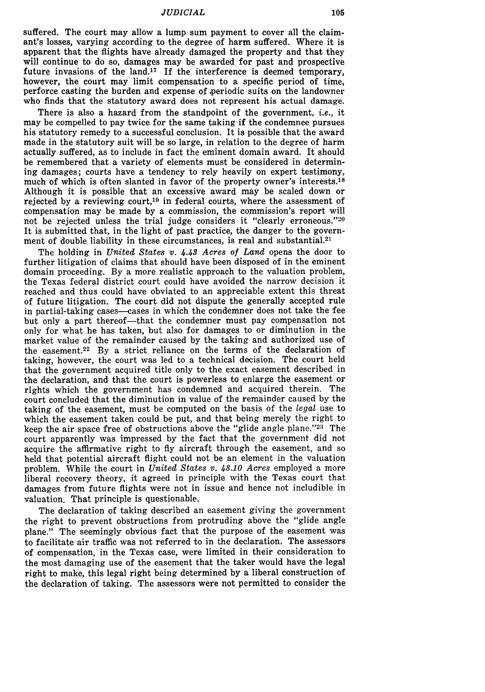suffered. The court may allow a lump sum payment to cover all the claimant's losses, varying according to the degree of harm suffered. Where it is apparent that the flights have already damaged the property and that they will continue to do so, damages may be awarded for past and prospective future invasions of the land.<sup>17</sup> If the interference is deemed temporary, however, the court may limit compensation to a specific period of time, perforce casting the burden and expense of-periodic suits on the landowner who finds that the statutory award does not represent his actual damage.

There is also a hazard from the standpoint of the government, *i.e.,* it may be compelled to pay twice for the same taking if the condemnee pursues his statutory remedy to a successful conclusion. It is possible that the award made in the statutory suit will be so large, in relation to the degree of harm actually suffered, as to include in fact the eminent domain award. It should be remembered that a variety of elements must be considered in determining damages; courts have a tendency to rely heavily on expert testimony, much of which is often slanted in favor of the property owner's interests.<sup>18</sup> Although it is possible that an excessive award may be scaled down or rejected by a reviewing court,<sup>19</sup> in federal courts, where the assessment of compensation may be made by a commission, the commission's report will not be rejected unless the trial judge considers it "clearly erroneous."<sup>20</sup> It is submitted that, in the light of past practice, the danger to the government of double liability in these circumstances, is real and substantial.<sup>21</sup>

The holding in *United States v. 4.48 Acres of Land* opens the door to further litigation of claims that should have been disposed of in the eminent domain proceeding. By a more realistic approach to the valuation problem, the Texas federal district court could have avoided the narrow decision it reached and thus could have obviated to an appreciable extent this threat of future litigation. The court did not dispute the generally accepted rule in partial-taking cases--cases in which the condemner does not take the fee but only a part thereof—that the condemner must pay compensation not only for what he has taken, but also for damages to or diminution in the market value of the remainder caused by the taking and authorized use of the easement.<sup>22</sup> By a strict reliance on the terms of the declaration of taking, however, the court was led to a technical decision. The court held that the government acquired title only to the exact easement described in the declaration, and that the court is powerless to enlarge the easement or rights which the government has condemned and acquired therein. The court concluded that the diminution in value of the remainder caused by the taking of the easement, must be computed on the basis of the *legal* use to which the easement taken could be put, and that being merely the right to keep the air space free of obstructions above the "glide angle plane."<sup>23</sup> The court apparently was impressed by the fact that the government did not acquire the affirmative right to fly aircraft through the easement, and so held that potential aircraft flight could not be an element in the valuation problem. While the court in *United States v. 48.10 Acres* employed a more liberal recovery theory, it agreed in principle with the Texas court that damages from future flights were not in issue and hence not includible in valuation. That principle is questionable.

The declaration of taking described an easement giving the government the right to prevent obstructions from protruding above the "glide angle plane." The seemingly obvious fact that the purpose of the easement was to facilitate air traffic was not referred to in the declaration. The assessors of compensation, in the Texas case, were limited in their consideration to the most damaging use of the easement that the taker would have the legal right to make, this legal right being determined by a liberal construction of the declaration of taking. The assessors were not permitted to consider the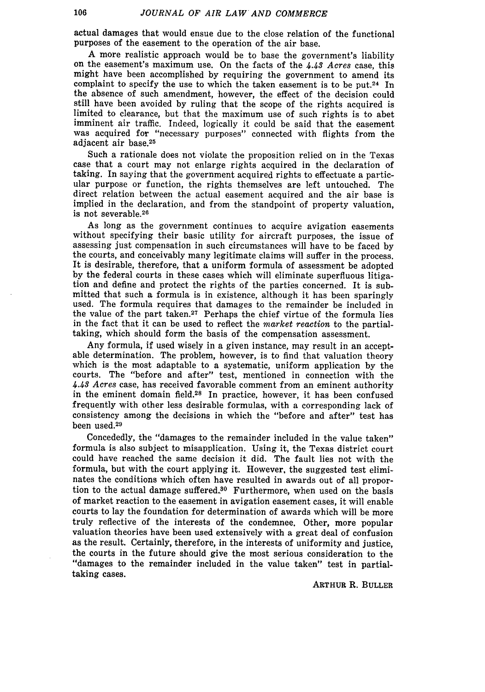actual damages that would ensue due to the close relation of the functional purposes of the easement to the operation of the air base.

A more realistic approach would be to base the government's liability on the easement's maximum use. On the facts of the *4.43 Acres* case, this might have been accomplished by requiring the government to amend its complaint to specify the use to which the taken easement is to be put.<sup>24</sup> In the absence of such amendment, however, the effect of the decision could still have been avoided by ruling that the scope of the rights acquired is limited to clearance, but that the maximum use of such rights is to abet imminent air traffic. Indeed, logically it could be said that the easement was acquired for "necessary purposes" connected with flights from the adjacent air base.<sup>25</sup>

Such a rationale does not violate the proposition relied on in the Texas case that a court may not enlarge rights acquired in the declaration of taking. In saying that the government acquired rights to effectuate a particular purpose or function, the rights themselves are left untouched. The direct relation between the actual easement acquired and the air base is implied in the declaration, and from the standpoint of property valuation, is not severable. <sup>26</sup>

As long as the government continues to acquire avigation easements without specifying their basic utility for aircraft purposes, the issue of assessing just compensation in such circumstances will have to be faced by the courts, and conceivably many legitimate claims will suffer in the process. It is desirable, therefore, that a uniform formula of assessment be adopted by the federal courts in these cases which will eliminate superfluous litigation and define and protect the rights of the parties concerned. It is submitted that such a formula is in existence, although it has been sparingly used. The formula requires that damages to the remainder be included in the value of the part taken.27 Perhaps the chief virtue of the formula lies in the fact that it can be used to reflect the *market reaction* to the partialtaking, which should form the basis of the compensation assessment.

Any formula, if used wisely in a given instance, may result in an acceptable determination. The problem, however, is to find that valuation theory which is the most adaptable to a systematic, uniform application by the courts. The "before and after" test, mentioned in connection with the *4.43 Acres* case, has received favorable comment from an eminent authority in the eminent domain field.<sup>28</sup> In practice, however, it has been confused frequently with other less desirable formulas, with a corresponding lack of consistency among the decisions in which the "before and after" test has been used.<sup>29</sup>

Concededly, the "damages to the remainder included in the value taken" formula is also subject to misapplication. Using it, the Texas district court could have reached the same decision it did. The fault lies not with the formula, but with the court applying it. However, the suggested test eliminates the conditions which often have resulted in awards out of all proportion to the actual damage suffered.<sup>30</sup> Furthermore, when used on the basis of market reaction to the easement in avigation easement cases, it will enable courts to lay the foundation for determination of awards which will be more truly reflective of the interests of the condemnee. Other, more popular valuation theories have been used extensively with a great deal of confusion as the result. Certainly, therefore, in the interests of uniformity and justice, the courts in the future should give the most serious consideration to the "damages to the remainder included in the value taken" test in partialtaking cases.

ARTHUR R. **BULLER**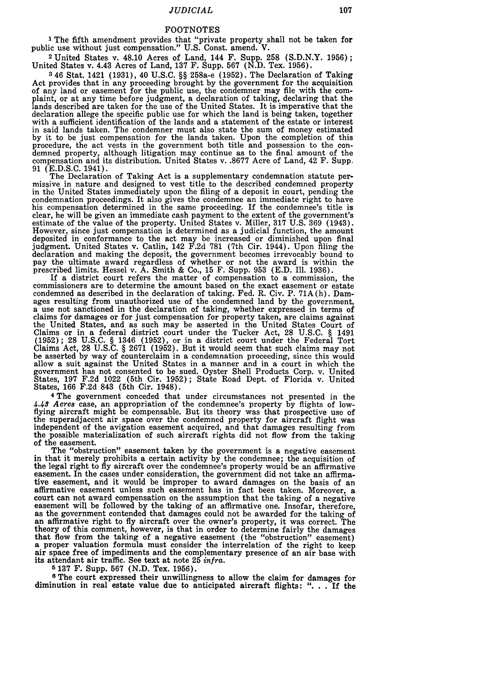#### FOOTNOTES

**1** The fifth amendment provides that "private property shall not be taken for public use without just compensation." U.S. Const. amend. V.

<sup>2</sup>United States v. 48.10 Acres of Land, 144 F. Supp. 258 (S.D.N.Y. 1956); United States v. 4.43 Acres of Land, 137 F. Supp. 567 (N.D. Tex. 1956).

346 Stat. 1421 (1931), 40 U.S.C. §§ 258a-e (1952). The Declaration of Taking<br>Act provides that in any proceeding brought by the government for the acquisition<br>of any land or easement for the public use, the condemner may f lands described are taken for the use of the United States. It is imperative that the declaration allege the specific public use for which the land is being taken, together with a sufficient identification of the lands and a statement of the estate or interest in said lands taken. The condemner must also state the sum of money estimated by it to be just compensation for the lands taken. Upon the completion of this procedure, the act vests in the government both title and possession to the con-<br>demned property, although litigation may continue as to the final amount of the compensation and its distribution. United States v. .8677 Acre of Land, 42 F. Supp. 91 (E.D.S.C. 1941).

91 (E.D.S.C. 1941).<br>The Declaration of Taking Act is a supplementary condemnation statute per-<br>missive in nature and designed to vest title to the described condemned property<br>in the United States immediately upon the fili condemnation proceedings. It also gives the condemnee an immediate right to have his compensation determined in the same proceeding. If the condemnee's title is clear, he will be given an immediate cash payment to the extent of the government's estimate of the value of the property. United States v. Miller, **317** U.S. 369 (1943). However, since just compensation is determined as a judicial function, the amount deposited in conformance to the act may be increased or diminished upon final judgment. United States v. Catlin, 142 F.2d 781 (7th Cir. 1944). Upon filing the declaration and making the deposit, the government becomes irr

If a district court refers the matter of compensation to a commission, the commissioners are to determine the amount based on the exact easement or estate condemned as described in the declaration of taking. Fed. R. Civ. P. 71A(h). Damages resulting from unauthorized use of the condemned land by the government, a use not sanctioned in the declaration of taking, whether expressed in terms of claims for damages or for just compensation for property taken, the United States, and as such may be asserted in the United States Court of Claims or in a federal district court under the Tucker Act, 28 U.S.C. § 1491 (1952); 28 U.S.C. § 1346 (1952), or in a district court under the Federal Tort Claims Act, 28 U.S.C. § 2671 (1952). But it would seem that such c allow a suit against the United States in a manner and in a court in which the government has not consented to be sued. Oyster Shell Products Corp. v. United States, 197 F.2d 1022 (5th Cir. 1952); State Road Dept. of Florida v. United States, 166 F.2d 843 (5th Cir. 1948).

<sup>4</sup>The government conceded that under circumstances not presented in the *4.48 Acres* case, an appropriation of the condemnee's property by flights of low-flying aircraft might be compensable. But its theory was that prospective use of the superadjacent air space over the condemned property for aircraft flight was independent of the avigation easement acquired, and that damages resulting from the possible materialization of such aircraft rights did not flow from the taking of the easement.

The "obstruction" easement taken by the government is a negative easement in that it merely prohibits a certain activity by the condemnee; the acquisition of<br>the legal right to fly aircraft over the condemnee's property would be an affirmative<br>easement. In the cases under consideration, the gove tive easement, and it would be improper to award damages on the basis of an affirmative easement unless such easement has in fact been taken. Moreover, a court can not award compensation on the assumption that the taking o easement will be followed by the taking of an affirmative one. Insofar, therefore, as the government contended that damages could not be awarded for the taking of an affirmative right to fly aircraft over the owner's prope theory of this comment, however, is that in order to determine fairly the damages that flow from the taking of a negative easement (the "obstruction" easement)<br>a proper valuation formula must consider the interrelation of the right to keep air space free of impediments and the complementary presence of an air base with its attendant air traffic. See text at note 25 *infra.*

**<sup>5</sup>**137 F. Supp. **567** (N.D. Tex. 1956). **<sup>6</sup>**The court expressed their unwillingness to allow the claim for damages for diminution in real estate value due to anticipated aircraft flights: ". **.** . If the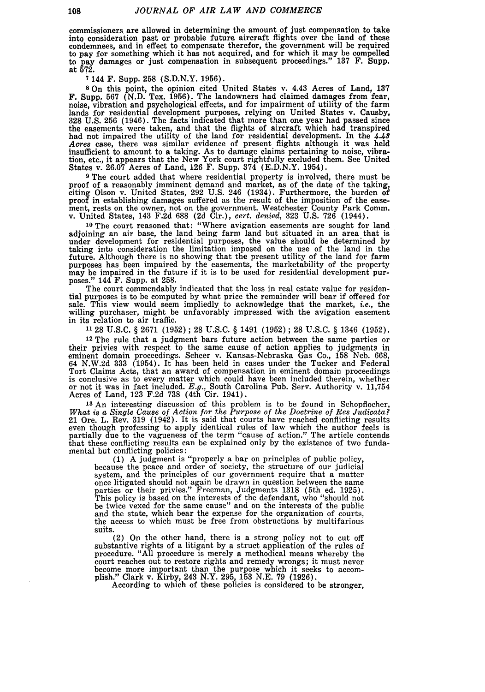commissioners are allowed in determining the amount of just compensation to take into consideration past or probable future aircraft flights over the land of these condemnees, and in effect to compensate therefor, the government will be required to pay for something which it has not acquired, and for which it may be compelled to pay damages or just compensation in subsequent proceedings." 137 F. Supp. at **572.**

**7** 144 F. Supp. **258** (S.D.N.Y. 1956).

**8** On this point, the opinion cited United States v. 4.43 Acres of Land, **137** F. Supp. 567 **(N.D.** Tex. 1956). The landowners had claimed damages from fear, noise, vibration and psychological effects, and for impairment of utility of the farm lands for residential development purposes, relying on United States v. Causby, **328** U.S. 256 (1946). The facts indicated that more than one year had passed since the easements were taken, and that the flights of aircraft which had transpired had not impaired the utility of the land for residential development. In the 4.43 Acres case, there was similar evidence of present flights although it was held<br>insufficient to amount to a taking. As to damage claims pertaining to noise, vibration, etc., it appears that the New York court rightfully excluded them. See United States v. 26.07 Acres of Land, 126 F. Supp. 374 (E.D.N.Y. 1954).

**9** The court added that where residential property is involved, there must be proof of a reasonably imminent demand and market, as of the date of the taking, citing Olson v. United States, 292 U.S. 246 (1934). Furthermore, the burden of proof in establishing damages suffered as the result of the imposition of the ease- ment, 'rests on the owner, not on the government. Westchester County Park Comm. v. United States, 143 F.2d 688 (2d Cir.), *cert. denied,* 323 U.S. 726 (1944).

**<sup>10</sup>**The court reasoned that: "Where avigation easements are sought for land adjoining an air base, the land being farm land but situated in an area that is under development for residential purposes, the value should be determined by taking into consideration the limitation imposed on the use of the land in the future. Although there is no showing that the present utility of purposes has been impaired by the easements, the marketability of the property may be impaired in the future if it is to be used for residential development pur-poses." 144 F. Supp. at 258.

The court commendably indicated that the loss in real estate value for residential purposes is to be computed by what price the remainder will bear if offered for sale. This view would seem impliedly to acknowledge that the market, *i.e.*, the willing purchaser, might be unfavorably impressed with the avigation easement in its relation to air traffic.

**1128 U.S.C.** § 2671 (1952) **;** 28 **U.S.C.** § 1491 (1952) **;** 28 **U.S.C.** § 1346 (1952).

12 The rule that a judgment bars future action between the same parties or their privies with respect to the same cause of action applies to judgments in eminent domain proceedings. Scheer v. Kansas-Nebraska Gas Co., 158 Neb. 668, 64 N.W.2d **333** (1954). It has been held in cases under the Tucker and Federal Tort Claims Acts, that an award of compensation in eminent domain proceedings is conclusive as to every matter which could have been included therein, whether or not it was in fact included. *E.g.,* South Carolina Pub. Serv. Authority v. 11,754 Acres of Land, 123 F.2d 738 (4th Cir. 1941).

**<sup>13</sup>**An interesting discussion of this problem is to be found in Schopflocher, *What is a Single Cause of Action for the Purpose of the Doctrine of Res Judicata?* 21 Ore. L. Rev. 319 (1942). It is said that courts have reached conflicting results<br>even though professing to apply identical rules of law which the author feels is<br>partially due to the vagueness of the term "cause of acti that these conflicting results can be explained only by the existence of two fundamental but conflicting policies:

(1) A judgment is "properly a bar on principles of public policy, because the peace and order of society, the structure of our judicial system, and the principles of our government require that a matter system, and the principles of our government require that a matter once litigated should not again be drawn in question between the same parties or their privies." Freeman, Judgments 1318 (5th ed. 1925). This policy is based on the interests of the defendant, who "should not be twice vexed for the same cause" and on the interests of the public and the state, which bear the expense for the organization of courts, the access to which must be free from obstructions by multifarious suits.

(2) On the other hand, there is a strong policy not to cut off substantive rights of a litigant by a struct application of the rules of procedure. "All procedure is merely a methodical means whereby the court reaches out to restore rights and remedy wrongs; it must never<br>become more important than the purpose which it seeks to accom-<br>plish." Clark v. Kirby, 243 N.Y. 295, 153 N.E. 79 (1926).<br>According to which of these pol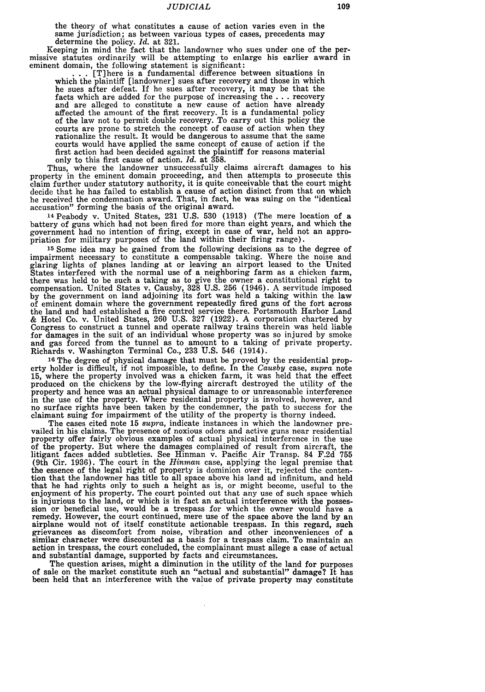the theory of what constitutes a cause of action varies even in the same jurisdiction; as between various types of cases, precedents may determine the policy. *Id.* at 321.

Keeping in mind the fact that the landowner who sues under one of the permissive statutes ordinarily will be attempting to enlarge his earlier award in eminent domain, the following statement is significant

**. . .** [T]here is a fundamental difference between situations in which the plaintiff [landowner] sues after recovery and those in which he sues after defeat. If he sues after recovery, it may be that the facts which are added for the purpose of increasing the **...** recovery and are alleged to constitute a new cause of action have already affected the amount of the first recovery. It is a fundamental policy of the law not to permit double recovery. To carry out this policy the courts are prone to stretch the concept of cause of action when they rationalize the result. It would be dangerous to assume that the same courts would have applied the same concept of cause of action if the first action had been decided against the plaintiff for reasons material only to this first cause of action. *Id.* at 358.

Thus, where the landowner unsuccessfully claims aircraft damages to his property in the eminent domain proceeding, and then attempts to prosecute this claim further under statutory authority, it is quite conceivable that the court might decide that he has failed to establish a cause of action disinct from that on which he received the condemnation award. That, in fact, he was suing on the "identical accusation" forming the basis of the original award.

<sup>14</sup>Peabody v. United States, 231 U.S. 530 (1913) (The mere location of a battery of guns which had not been fired for more than eight years, and which the government had no intention of firing, except in case of war, held not an appropriation for military purposes of the land within their firing range).

**<sup>15</sup>**Some idea may be gained from the following decisions as to the degree of impairment necessary to constitute a compensable taking. Where the noise and glaring lights of planes landing at or leaving an airport leased to the United States interfered with the normal use of a neighboring farm as a chicken farm, there was held to be such a taking as to give the owner a constitutional right to compensation. United States v. Causby, 328 U.S. 256 (1946). A servitude imposed by the government on land adjoining its fort was held a taking within the law of eminent domain where the government repeatedly fired guns of the land and had established a fire control service there. Portsmouth Harbor Land & Hotel Co. v. United States, 260 U.S. 327 (1922). A corporation chartered by Congress to construct a tunnel and operate railway trains therein was held liable for damages in the suit of an individual whose property was so injured by smoke and gas forced from the tunnel as to amount to a taking of private property. Richards v. Washington Terminal Co., 233 U.S. 546 (1914).

**16** The degree of physical damage that must be proved by the residential property holder is difficult, if not impossible, to define. In the *Causby* case, *supra* note 15, where the property involved was a chicken farm, it was held that the effect produced on the chickens by the low-flying aircraft destroyed the utility of the property and hence was an actual physical damage to or unreasonable interference in the use of the property. Where residential property is involved, however, and no surface rights have been taken by the condemner, the path to success for the claimant suing for impairment of the utility of the property is thorny indeed.

The cases cited note 15 *supra,* indicate instances in which the landowner prevailed in his claims. The presence of noxious odors and active guns near residential property offer fairly obvious examples of actual physical interference in the use of the property. But where the damages complained of result from aircraft, the litigant faces added subtleties. See Hinman v. Pacific Air Transp. 84 F.2d 755 (9th Cir. 1936). The court in the *Hinman* case, applying the legal premise that the essence of the legal right of property is dominion over it, rejected the contention that the landowner has title to all space above his land ad infinitum, and held that he had rights only to such a height as is, or might become, useful to the enjoyment of his property. The court pointed out that any use of such space which is injurious to the land, or which is in fact an actual interference with the possession or beneficial use, would be a trespass for which the owner would have a remedy. However, the court continued, mere use of the space above the land by an airplane would not of itself constitute actionable trespass. In this regard, such grievances as discomfort from noise, vibration and other inconveniences of a similar character were discounted as a basis for a trespass claim. To maintain an action in trespass, the court concluded, the complainant must allege a case of actual and substantial damage, supported by facts and circumstances.

The question arises, might a diminution in the utility of the land for purposes of sale on the market constitute such an "actual and substantial" damage? It has been held that an interference with the value of private property may constitute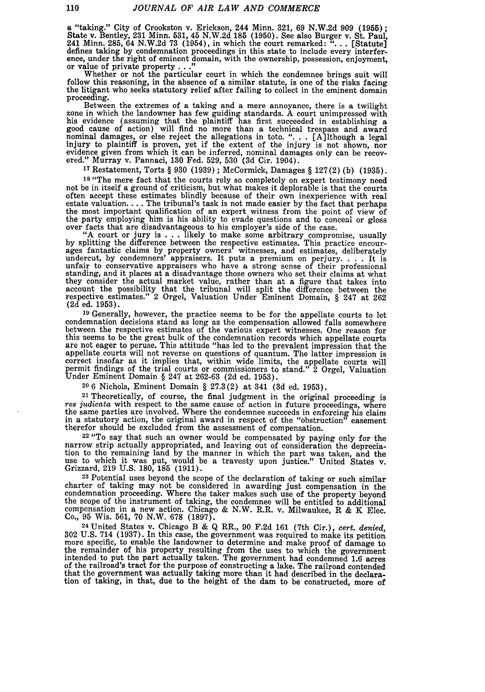a "taking." City of Crookston v. Erickson, 244 Minn. **321, 69** N.W.2d **909 (1955);** State v. Bentley, 231 Minn. 531, 45 N.W.2d 185 (1950). See also Burger v. St. Paul.<br>241 Minn. 285, 64 N.W.2d 73 (1954), in which the court remarked: ". . . [Statute]<br>defines taking by condemnation proceedings in this state ence, under the right of eminent domain, with the ownership, possession, enjoyment, or value of private property **...**"

Follow this reasoning, in the particular court in which the condemnee brings suit will follow this reasoning, in the absence of a similar statute, is one of the risks facing the litigant who seeks statutory relief after fa

proceeding.<br>Between the extremes of a taking and a mere annoyance, there is a twilight zone in which the landowner has few guiding standards. A court unimpressed with his evidence (assuming that the plaintiff has first succeeded in establishing a good cause of action) will find no more than a technical trespass and award nominal damages, or else reject the allegations in toto. "... [A]l evidence given from which it can be inferred, nominal damages only can be recovered." Murray v. Pannaci, 130 Fed. 529, 530 (3d Cir. 1904).

**<sup>17</sup>**Restatement, Torts § 930 (1939) ; McCormick, Damages § 127(2) **(b)** (1935).

**<sup>18</sup>**"The mere fact that the courts rely so completely on expert testimony need not be in itself a ground of criticism, but what makes it deplorable is that the courts often accept these estimates blindly because of their own inexperience with real estate valuation.... The tribunal's task is not made easier by the fact that perhaps the most important qualification of an expert witness from the point of view of the party employing him is his ability to evade question

the party employing him is his ability to evade questions and to conceal or gloss<br>over facts that are disadvantageous to his employer's side of the case.<br>"A court or jury is . . . likely to make some arbitrary compromise, unfair to conservative appraisers who have a strong sense of their professional standing, and it places at a disadvantage those owners who set their claims at what they consider the actual market value, rather than at a figure that takes into account the possibility that the tribunal will split the difference between the respective estimates." 2 Orgel, Valuation Under Eminent Domain, § 247 at 262 **(2d** ed. **1953).**

**<sup>19</sup>**Generally, however, the practice seems to be for the appellate courts to let condemnation decisions stand as long as the compensation allowed falls somewhere between the respective estimates of the various expert witnesses. One reason for this seems to be the great bulk of the condemnation records which appellate courts are not eager to peruse. This attitude "has led to the prevalent impression that the appellate courts will not reverse on questions of quantum. The latter impression is correct insofar as it implies that, within wide limits, the appellate courts will permit findings of the trial courts or commissioners to stand." 2 Orgel, Valuation Under Eminent Domain § 247 at **262-63 (2d** ed. **1953).**

20 **6** Nichols, Eminent Domain § **27.3(2)** at 341 **(3d** ed. **1953).**

**<sup>21</sup>**Theoretically, of course, the final judgment in the original proceeding is *res judicata* with respect to the same cause of action in future proceedings, where the same parties are involved. Where the condemnee succeeds in enforcing his claim in a statutory action, the original award in respect of the "obstruction" easement therefor should be excluded from the assessment of compensation.

**<sup>22</sup>**"To say that such an owner would be compensated **by** paying only for the tion to the remaining land by the manner in which the part was taken, and the use to which it was put, would be a travesty upon justice." United States v.<br>Grizzard, 219 U.S. 180, 185 (1911).

**<sup>23</sup>**Potential uses beyond the scope of the declaration of taking or such similar charter of taking may not be considered in awarding just compensation in the condemnation proceeding. Where the taker makes such use of the property beyond the scope of the instrument of taking, the condemnee will be entitled to additional compensation in a new action. Chicago **&** N.W. R.R. v. Milwaukee, R **&** K Elec. Co., **95** Wis. **561, 70** N.W. **678 (1897).** 24 United States v. Chicago B & Q RR., **90** F.2d **161** (7th Cir.), *cert. denied,*

<sup>24</sup> United States v. Chicago B & Q RR., 90 F.2d 161 (7th Cir.), cert. denied,  $302$  U.S. 714 (1937). In this case, the government was required to make its petition more specific, to enable the landowner to determine and the remainder of his property resulting from the uses to which the government<br>intended to put the part actually taken. The government had condemned 1.6 acres<br>of the railroad's tract for the purpose of constructing a lake. that the government was actually taking more than it had described in the declaration of taking, in that, due to the height of the dam to be constructed, more of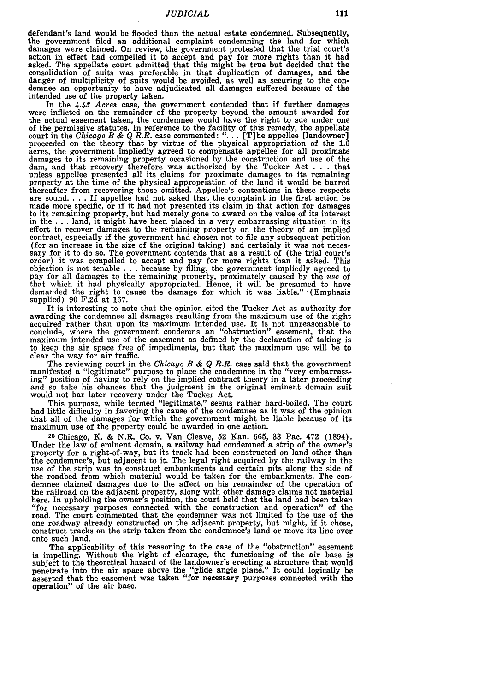*JUDICIAL*

defendant's land would be flooded than the actual estate condemned. Subsequently, the government **filed** an additional complaint condemning the land for which damages were claimed. On review, the government protested that the trial court's action in effect had compelled it to accept and pay for more rights than it had<br>asked. The appellate court admitted that this might be true but decided that the<br>consolidation of suits was preferable in that duplication of danger of multiplicity of suits would be avoided, as well as securing to the con- demnee an opportunity to have adjudicated all damages suffered because of the intended use of the property taken.

In the **4.43** *Acres* case, the government contended that if further damages were inflicted on the remainder of the property beyond the amount awarded for the actual easement taken, the condemnee would have the right to sue under one of the permissive statutes. In reference to the facility of this remedy, the appellate court in the *Chicago B &* Q *R.R.* case commented: **"...** [T]he appellee [landowner] proceeded on the theory that by virtue of the physical appropriation of the 1.6 acres, the government impliedly agreed to compensate appellee for all proximate damages to its remaining property occasioned by the construction and use of the dam, and that recovery therefore was authorized by the Tucker Act... that unless appellee presented all its claims for proximate damages to i thereafter from recovering those omitted. Appellee's contentions in these respects are sound.... If appellee had not asked that the complaint in the first action be made more specific, or if it had not presented its claim to its remaining property, but had merely gone to award on the value of its interest in the **...** land, it might have been placed in a very embarrassing situation in its effort to recover damages to the remaining property on the theory of an implied contract, especially if the government had chosen not to file any subsequent petition (for an increase in the size of the original taking) and certainly it was not neces- sary for it to do so. The government contends that as a result of (the trial court's order) it was compelled to accept and pay for more rights than it asked. This objection is not tenable . . . because by filing, the government impliedly agreed to pay for all damages to the remaining property, proximately demanded the right to cause the damage for which it was liable." **-**(Emphasis supplied) 90 F.2d at 167.

It is interesting to note that the opinion cited the Tucker Act as authority for awarding the condemnee all damages resulting from the maximum use of the right acquired rather than upon its maximum intended use. It is not unreasonable to conclude, where the government condemns an "obstruction" easement, that the maximum intended use of the easement as defined by the declaration of taking is to keep the air space free of impediments, but that the maximum use will be to clear the way for air traffic.

The reviewing court in the *Chicago B & Q R.R.* case said that the government manifested a "legitimate" purpose to place the condemnee in the "very embarrassing" position of having to rely on the implied contract theory i would not bar later recovery under the Tucker Act.

This purpose, while termed "legitimate," seems rather hard-boiled. The court had little difficulty in favoring the cause of the condemnee as it was of the opinion that all of the damages for which the government might be liable because of its maximum use of the property could be awarded in one action.

**<sup>25</sup>**Chicago, K. & N.R. Co. v. Van Cleave, 52 Kan. 665, 33 Pac. 472 (1894). Under the law of eminent domain, a railway had condemned a strip of the owner's property for a right-of-way, but its track had been constructed on land other than the condemnee's, but adjacent to it. The legal right acquired by the railway in the use of the strip was to construct embankments and certain pits along the side of use of the strip was to construct embankments and certain pits along the side of the roadbed from which material would be taken for the embankments. The con- demnee claimed damages due to the affect on his remainder of the the railroad on the adjacent property, along with other damage claims not material here. In upholding the owner's position, the court held that the land had been taken "for necessary purposes connected with the construction and operation" of the<br>road. The court commented that the condemner was not limited to the use of the<br>one roadway already constructed on the adjacent property, but mig one roadway already constructed on the adjacent property, but might, if it chose, construct tracks on the strip taken from the condemnee's land or move its line over onto such land.

The applicability of this reasoning to the case of the "obstruction" easement is impelling. Without the right of clearage, the functioning of the air base is subject to the theoretical hazard of the landowner's erecting a structure that would<br>penetrate into the air space above the "glide angle plane." It could logically be<br>asserted that the easement was taken "for necessary pur